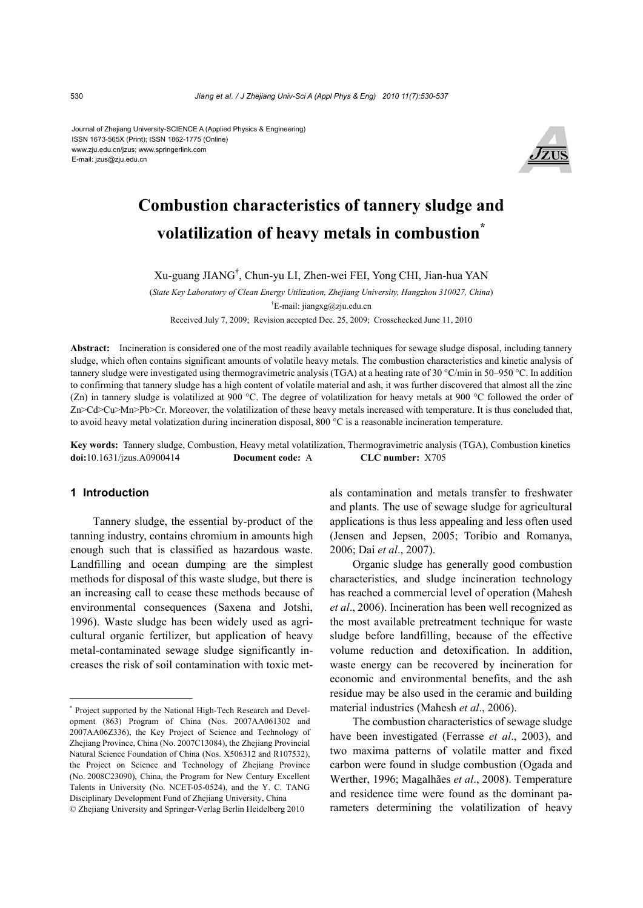Journal of Zhejiang University-SCIENCE A (Applied Physics & Engineering) ISSN 1673-565X (Print); ISSN 1862-1775 (Online) www.zju.edu.cn/jzus; www.springerlink.com E-mail: jzus@zju.edu.cn



# **Combustion characteristics of tannery sludge and volatilization of heavy metals in combustion\***

Xu-guang JIANG† , Chun-yu LI, Zhen-wei FEI, Yong CHI, Jian-hua YAN

(*State Key Laboratory of Clean Energy Utilization, Zhejiang University, Hangzhou 310027, China*) † E-mail: jiangxg@zju.edu.cn

Received July 7, 2009; Revision accepted Dec. 25, 2009; Crosschecked June 11, 2010

**Abstract:** Incineration is considered one of the most readily available techniques for sewage sludge disposal, including tannery sludge, which often contains significant amounts of volatile heavy metals. The combustion characteristics and kinetic analysis of tannery sludge were investigated using thermogravimetric analysis (TGA) at a heating rate of 30 °C/min in 50–950 °C. In addition to confirming that tannery sludge has a high content of volatile material and ash, it was further discovered that almost all the zinc (Zn) in tannery sludge is volatilized at 900 °C. The degree of volatilization for heavy metals at 900 °C followed the order of Zn>Cd>Cu>Mn>Pb>Cr. Moreover, the volatilization of these heavy metals increased with temperature. It is thus concluded that, to avoid heavy metal volatization during incineration disposal, 800 °C is a reasonable incineration temperature.

**Key words:** Tannery sludge, Combustion, Heavy metal volatilization, Thermogravimetric analysis (TGA), Combustion kinetics **doi:**10.1631/jzus.A0900414 **Document code:** A **CLC number:** X705

# **1 Introduction**

Tannery sludge, the essential by-product of the tanning industry, contains chromium in amounts high enough such that is classified as hazardous waste. Landfilling and ocean dumping are the simplest methods for disposal of this waste sludge, but there is an increasing call to cease these methods because of environmental consequences (Saxena and Jotshi, 1996). Waste sludge has been widely used as agricultural organic fertilizer, but application of heavy metal-contaminated sewage sludge significantly increases the risk of soil contamination with toxic metals contamination and metals transfer to freshwater and plants. The use of sewage sludge for agricultural applications is thus less appealing and less often used (Jensen and Jepsen, 2005; Toribio and Romanya, 2006; Dai *et al*., 2007).

Organic sludge has generally good combustion characteristics, and sludge incineration technology has reached a commercial level of operation (Mahesh *et al*., 2006). Incineration has been well recognized as the most available pretreatment technique for waste sludge before landfilling, because of the effective volume reduction and detoxification. In addition, waste energy can be recovered by incineration for economic and environmental benefits, and the ash residue may be also used in the ceramic and building material industries (Mahesh *et al*., 2006).

The combustion characteristics of sewage sludge have been investigated (Ferrasse *et al*., 2003), and two maxima patterns of volatile matter and fixed carbon were found in sludge combustion (Ogada and Werther, 1996; Magalhães *et al*., 2008). Temperature and residence time were found as the dominant parameters determining the volatilization of heavy

<sup>\*</sup> Project supported by the National High-Tech Research and Development (863) Program of China (Nos. 2007AA061302 and 2007AA06Z336), the Key Project of Science and Technology of Zhejiang Province, China (No. 2007C13084), the Zhejiang Provincial Natural Science Foundation of China (Nos. X506312 and R107532), the Project on Science and Technology of Zhejiang Province (No. 2008C23090), China, the Program for New Century Excellent Talents in University (No. NCET-05-0524), and the Y. C. TANG Disciplinary Development Fund of Zhejiang University, China © Zhejiang University and Springer-Verlag Berlin Heidelberg 2010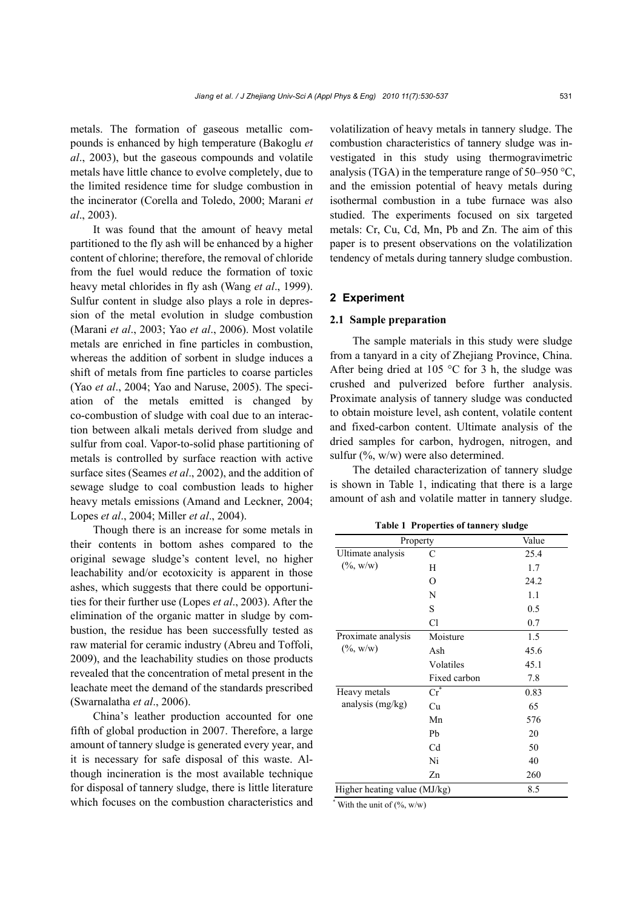metals. The formation of gaseous metallic compounds is enhanced by high temperature (Bakoglu *et al*., 2003), but the gaseous compounds and volatile metals have little chance to evolve completely, due to the limited residence time for sludge combustion in the incinerator (Corella and Toledo, 2000; Marani *et al*., 2003).

It was found that the amount of heavy metal partitioned to the fly ash will be enhanced by a higher content of chlorine; therefore, the removal of chloride from the fuel would reduce the formation of toxic heavy metal chlorides in fly ash (Wang *et al*., 1999). Sulfur content in sludge also plays a role in depression of the metal evolution in sludge combustion (Marani *et al*., 2003; Yao *et al*., 2006). Most volatile metals are enriched in fine particles in combustion, whereas the addition of sorbent in sludge induces a shift of metals from fine particles to coarse particles (Yao *et al*., 2004; Yao and Naruse, 2005). The speciation of the metals emitted is changed by co-combustion of sludge with coal due to an interaction between alkali metals derived from sludge and sulfur from coal. Vapor-to-solid phase partitioning of metals is controlled by surface reaction with active surface sites (Seames *et al*., 2002), and the addition of sewage sludge to coal combustion leads to higher heavy metals emissions (Amand and Leckner, 2004; Lopes *et al*., 2004; Miller *et al*., 2004).

Though there is an increase for some metals in their contents in bottom ashes compared to the original sewage sludge's content level, no higher leachability and/or ecotoxicity is apparent in those ashes, which suggests that there could be opportunities for their further use (Lopes *et al*., 2003). After the elimination of the organic matter in sludge by combustion, the residue has been successfully tested as raw material for ceramic industry (Abreu and Toffoli, 2009), and the leachability studies on those products revealed that the concentration of metal present in the leachate meet the demand of the standards prescribed (Swarnalatha *et al*., 2006).

China's leather production accounted for one fifth of global production in 2007. Therefore, a large amount of tannery sludge is generated every year, and it is necessary for safe disposal of this waste. Although incineration is the most available technique for disposal of tannery sludge, there is little literature which focuses on the combustion characteristics and volatilization of heavy metals in tannery sludge. The combustion characteristics of tannery sludge was investigated in this study using thermogravimetric analysis (TGA) in the temperature range of 50–950 °C, and the emission potential of heavy metals during isothermal combustion in a tube furnace was also studied. The experiments focused on six targeted metals: Cr, Cu, Cd, Mn, Pb and Zn. The aim of this paper is to present observations on the volatilization tendency of metals during tannery sludge combustion.

# **2 Experiment**

# **2.1 Sample preparation**

The sample materials in this study were sludge from a tanyard in a city of Zhejiang Province, China. After being dried at 105 °C for 3 h, the sludge was crushed and pulverized before further analysis. Proximate analysis of tannery sludge was conducted to obtain moisture level, ash content, volatile content and fixed-carbon content. Ultimate analysis of the dried samples for carbon, hydrogen, nitrogen, and sulfur (%, w/w) were also determined.

The detailed characterization of tannery sludge is shown in Table 1, indicating that there is a large amount of ash and volatile matter in tannery sludge.

| Property                               |                       | Value |
|----------------------------------------|-----------------------|-------|
| Ultimate analysis                      | C                     | 25.4  |
| $(\%,{\rm w/w})$                       | Н                     | 1.7   |
|                                        | $\Omega$              | 24.2  |
|                                        | N                     | 1.1   |
|                                        | S                     | 0.5   |
|                                        | Cl                    | 0.7   |
| Proximate analysis<br>$(\%,{\rm w/w})$ | Moisture              | 1.5   |
|                                        | Ash                   | 45.6  |
|                                        | Volatiles             | 45.1  |
|                                        | Fixed carbon          | 7.8   |
| Heavy metals<br>analysis (mg/kg)       | $\operatorname{Cr}^*$ | 0.83  |
|                                        | Cu                    | 65    |
|                                        | Mn                    | 576   |
|                                        | Pb                    | 20    |
|                                        | C <sub>d</sub>        | 50    |
|                                        | Ni                    | 40    |
|                                        | Zn                    | 260   |
| Higher heating value (MJ/kg)           |                       | 8.5   |

**Table 1 Properties of tannery sludge** 

 $*$  With the unit of  $(\% , w/w)$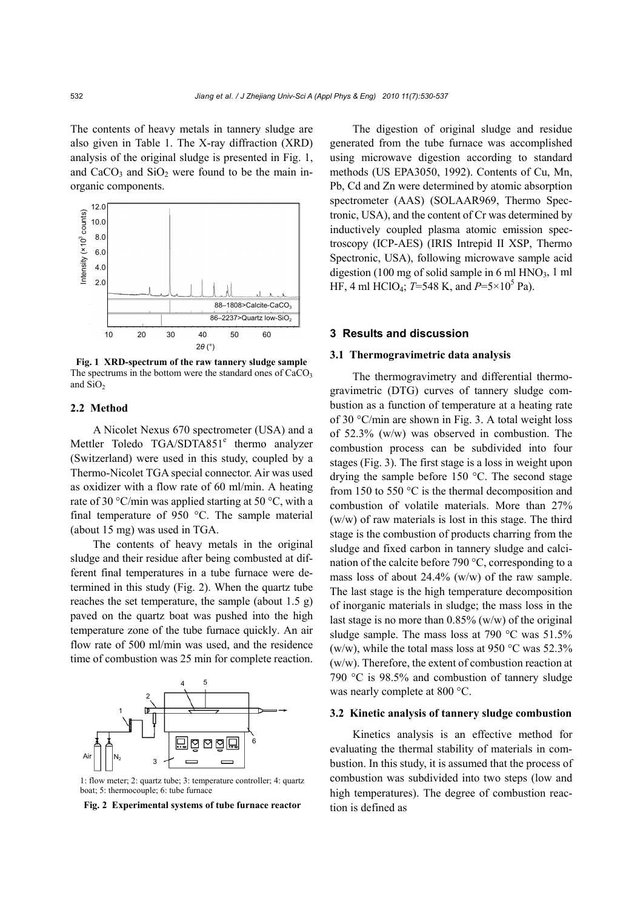The contents of heavy metals in tannery sludge are also given in Table 1. The X-ray diffraction (XRD) analysis of the original sludge is presented in Fig. 1, and  $CaCO<sub>3</sub>$  and  $SiO<sub>2</sub>$  were found to be the main inorganic components.



**Fig. 1 XRD-spectrum of the raw tannery sludge sample** The spectrums in the bottom were the standard ones of  $CaCO<sub>3</sub>$ and SiO<sub>2</sub>

# **2.2 Method**

A Nicolet Nexus 670 spectrometer (USA) and a Mettler Toledo TGA/SDTA851<sup>e</sup> thermo analyzer (Switzerland) were used in this study, coupled by a Thermo-Nicolet TGA special connector. Air was used as oxidizer with a flow rate of 60 ml/min. A heating rate of 30 °C/min was applied starting at 50 °C, with a final temperature of 950 °C. The sample material (about 15 mg) was used in TGA.

The contents of heavy metals in the original sludge and their residue after being combusted at different final temperatures in a tube furnace were determined in this study (Fig. 2). When the quartz tube reaches the set temperature, the sample (about 1.5 g) paved on the quartz boat was pushed into the high temperature zone of the tube furnace quickly. An air flow rate of 500 ml/min was used, and the residence time of combustion was 25 min for complete reaction.



1: flow meter; 2: quartz tube; 3: temperature controller; 4: quartz boat; 5: thermocouple; 6: tube furnace

**Fig. 2 Experimental systems of tube furnace reactor** 

The digestion of original sludge and residue generated from the tube furnace was accomplished using microwave digestion according to standard methods (US EPA3050, 1992). Contents of Cu, Mn, Pb, Cd and Zn were determined by atomic absorption spectrometer (AAS) (SOLAAR969, Thermo Spectronic, USA), and the content of Cr was determined by inductively coupled plasma atomic emission spectroscopy (ICP-AES) (IRIS Intrepid II XSP, Thermo Spectronic, USA), following microwave sample acid digestion (100 mg of solid sample in 6 ml  $HNO<sub>3</sub>$ , 1 ml HF, 4 ml HClO<sub>4</sub>; *T*=548 K, and *P*=5×10<sup>5</sup> Pa).

#### **3 Results and discussion**

#### **3.1 Thermogravimetric data analysis**

The thermogravimetry and differential thermogravimetric (DTG) curves of tannery sludge combustion as a function of temperature at a heating rate of 30 °C/min are shown in Fig. 3. A total weight loss of 52.3% (w/w) was observed in combustion. The combustion process can be subdivided into four stages (Fig. 3). The first stage is a loss in weight upon drying the sample before 150 °C. The second stage from 150 to 550 °C is the thermal decomposition and combustion of volatile materials. More than 27% (w/w) of raw materials is lost in this stage. The third stage is the combustion of products charring from the sludge and fixed carbon in tannery sludge and calcination of the calcite before 790 °C, corresponding to a mass loss of about 24.4% (w/w) of the raw sample. The last stage is the high temperature decomposition of inorganic materials in sludge; the mass loss in the last stage is no more than  $0.85\%$  (w/w) of the original sludge sample. The mass loss at 790 °C was 51.5% (w/w), while the total mass loss at 950 °C was 52.3% (w/w). Therefore, the extent of combustion reaction at 790 °C is 98.5% and combustion of tannery sludge was nearly complete at 800 °C.

#### **3.2 Kinetic analysis of tannery sludge combustion**

Kinetics analysis is an effective method for evaluating the thermal stability of materials in combustion. In this study, it is assumed that the process of combustion was subdivided into two steps (low and high temperatures). The degree of combustion reaction is defined as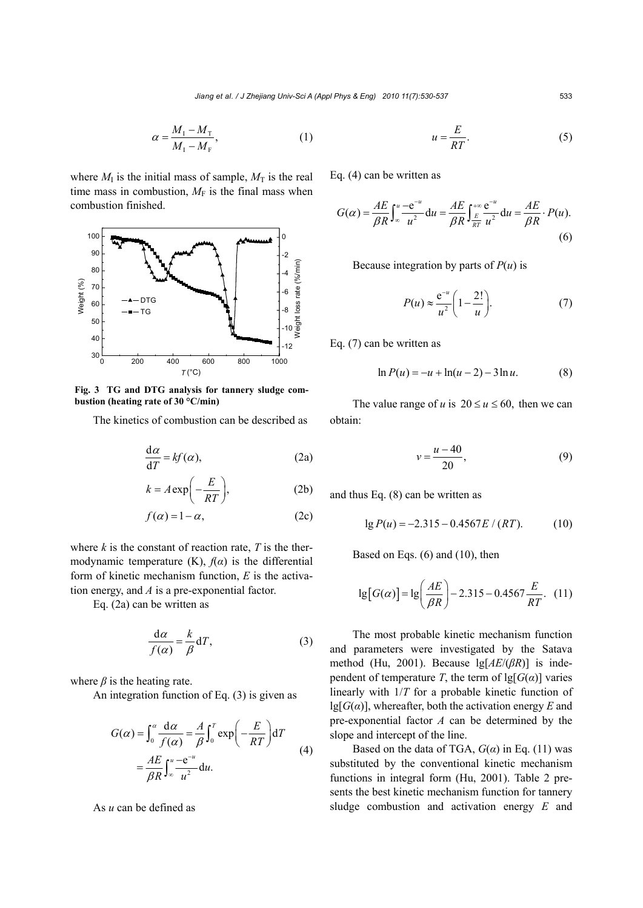$$
\alpha = \frac{M_{1} - M_{\rm T}}{M_{1} - M_{\rm F}},\tag{1}
$$

where  $M_I$  is the initial mass of sample,  $M_T$  is the real time mass in combustion,  $M_F$  is the final mass when combustion finished.



**Fig. 3 TG and DTG analysis for tannery sludge combustion (heating rate of 30 °C/min)**

The kinetics of combustion can be described as

$$
\frac{\mathrm{d}\alpha}{\mathrm{d}T} = kf(\alpha),\tag{2a}
$$

$$
k = A \exp\left(-\frac{E}{RT}\right),\tag{2b}
$$

$$
f(\alpha) = 1 - \alpha, \tag{2c}
$$

where  $k$  is the constant of reaction rate,  $T$  is the thermodynamic temperature  $(K)$ ,  $f(\alpha)$  is the differential form of kinetic mechanism function, *E* is the activation energy, and *A* is a pre-exponential factor.

Eq. (2a) can be written as

$$
\frac{\mathrm{d}\alpha}{f(\alpha)} = \frac{k}{\beta} \mathrm{d}T,\tag{3}
$$

where  $\beta$  is the heating rate.

An integration function of Eq. (3) is given as

$$
G(\alpha) = \int_0^{\alpha} \frac{d\alpha}{f(\alpha)} = \frac{A}{\beta} \int_0^T \exp\left(-\frac{E}{RT}\right) dT
$$
  
= 
$$
\frac{AE}{\beta R} \int_{\infty}^u \frac{-e^{-u}}{u^2} du.
$$
 (4)

As *u* can be defined as

$$
u = \frac{E}{RT}.\tag{5}
$$

Eq. (4) can be written as

$$
G(\alpha) = \frac{AE}{\beta R} \int_{-\infty}^{u} \frac{-e^{-u}}{u^2} du = \frac{AE}{\beta R} \int_{\frac{E}{RT}}^{+\infty} \frac{e^{-u}}{u^2} du = \frac{AE}{\beta R} \cdot P(u).
$$
\n(6)

Because integration by parts of  $P(u)$  is

$$
P(u) \approx \frac{e^{-u}}{u^2} \left( 1 - \frac{2!}{u} \right). \tag{7}
$$

Eq. (7) can be written as

$$
\ln P(u) = -u + \ln(u - 2) - 3\ln u.
$$
 (8)

The value range of *u* is  $20 \le u \le 60$ , then we can obtain:

$$
v = \frac{u - 40}{20},\tag{9}
$$

and thus Eq. (8) can be written as

$$
lg P(u) = -2.315 - 0.4567E / (RT). \tag{10}
$$

Based on Eqs. (6) and (10), then

$$
\lg[G(\alpha)] = \lg\left(\frac{AE}{\beta R}\right) - 2.315 - 0.4567\frac{E}{RT}.\tag{11}
$$

The most probable kinetic mechanism function and parameters were investigated by the Satava method (Hu, 2001). Because lg[*AE*/(*βR*)] is independent of temperature *T*, the term of  $\lg[G(\alpha)]$  varies linearly with 1/*T* for a probable kinetic function of lg[*G*(*α*)], whereafter, both the activation energy *E* and pre-exponential factor *A* can be determined by the slope and intercept of the line.

Based on the data of TGA,  $G(\alpha)$  in Eq. (11) was substituted by the conventional kinetic mechanism functions in integral form (Hu, 2001). Table 2 presents the best kinetic mechanism function for tannery sludge combustion and activation energy *E* and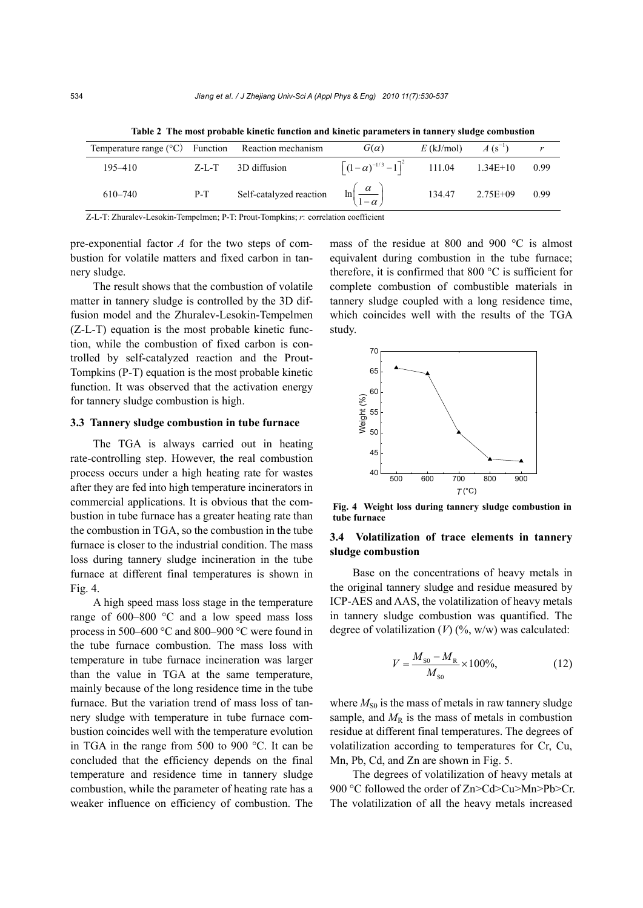| Temperature range $({}^{\circ}C)$ Function Reaction mechanism |           |                                                                   | $G(\alpha)$                                                       | $E$ (kJ/mol) | $A(S^{-1})$     |      |
|---------------------------------------------------------------|-----------|-------------------------------------------------------------------|-------------------------------------------------------------------|--------------|-----------------|------|
| 195–410                                                       | $Z-I - T$ | 3D diffusion                                                      | $\left[\left(1-\alpha\right)^{-1/3}-1\right]^{2}$ 111.04 1.34E+10 |              |                 | 0.99 |
| 610-740                                                       | $P-T$     | Self-catalyzed reaction $\ln\left(\frac{\alpha}{1-\alpha}\right)$ |                                                                   |              | 134.47 2.75E+09 | 0.99 |

**Table 2 The most probable kinetic function and kinetic parameters in tannery sludge combustion** 

Z-L-T: Zhuralev-Lesokin-Tempelmen; P-T: Prout-Tompkins; *r*: correlation coefficient

pre-exponential factor *A* for the two steps of combustion for volatile matters and fixed carbon in tannery sludge.

The result shows that the combustion of volatile matter in tannery sludge is controlled by the 3D diffusion model and the Zhuralev-Lesokin-Tempelmen (Z-L-T) equation is the most probable kinetic function, while the combustion of fixed carbon is controlled by self-catalyzed reaction and the Prout-Tompkins (P-T) equation is the most probable kinetic function. It was observed that the activation energy for tannery sludge combustion is high.

#### **3.3 Tannery sludge combustion in tube furnace**

The TGA is always carried out in heating rate-controlling step. However, the real combustion process occurs under a high heating rate for wastes after they are fed into high temperature incinerators in commercial applications. It is obvious that the combustion in tube furnace has a greater heating rate than the combustion in TGA, so the combustion in the tube furnace is closer to the industrial condition. The mass loss during tannery sludge incineration in the tube furnace at different final temperatures is shown in Fig. 4.

A high speed mass loss stage in the temperature range of 600–800 °C and a low speed mass loss process in 500–600 °C and 800–900 °C were found in the tube furnace combustion. The mass loss with temperature in tube furnace incineration was larger than the value in TGA at the same temperature, mainly because of the long residence time in the tube furnace. But the variation trend of mass loss of tannery sludge with temperature in tube furnace combustion coincides well with the temperature evolution in TGA in the range from 500 to 900 °C. It can be concluded that the efficiency depends on the final temperature and residence time in tannery sludge combustion, while the parameter of heating rate has a weaker influence on efficiency of combustion. The mass of the residue at 800 and 900 °C is almost equivalent during combustion in the tube furnace; therefore, it is confirmed that 800 °C is sufficient for complete combustion of combustible materials in tannery sludge coupled with a long residence time, which coincides well with the results of the TGA study.



**Fig. 4 Weight loss during tannery sludge combustion in tube furnace**

# **3.4 Volatilization of trace elements in tannery sludge combustion**

Base on the concentrations of heavy metals in the original tannery sludge and residue measured by ICP-AES and AAS, the volatilization of heavy metals in tannery sludge combustion was quantified. The degree of volatilization  $(V)$  (%, w/w) was calculated:

$$
V = \frac{M_{\rm S0} - M_{\rm R}}{M_{\rm S0}} \times 100\%,\tag{12}
$$

where  $M_{\text{S0}}$  is the mass of metals in raw tannery sludge sample, and  $M_R$  is the mass of metals in combustion residue at different final temperatures. The degrees of volatilization according to temperatures for Cr, Cu, Mn, Pb, Cd, and Zn are shown in Fig. 5.

The degrees of volatilization of heavy metals at 900 °C followed the order of Zn>Cd>Cu>Mn>Pb>Cr. The volatilization of all the heavy metals increased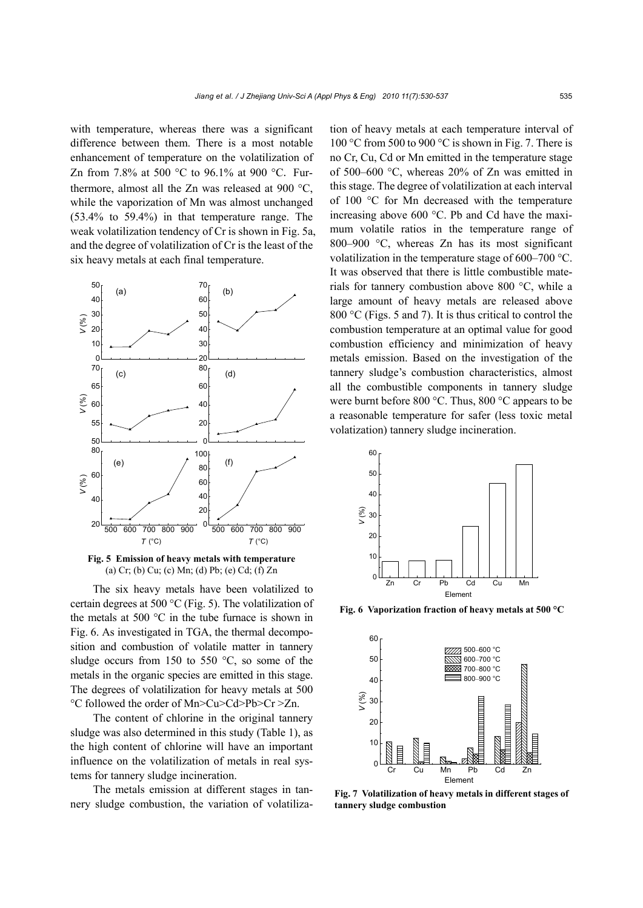with temperature, whereas there was a significant difference between them. There is a most notable enhancement of temperature on the volatilization of Zn from 7.8% at 500 °C to 96.1% at 900 °C. Furthermore, almost all the Zn was released at 900 °C, while the vaporization of Mn was almost unchanged (53.4% to 59.4%) in that temperature range. The weak volatilization tendency of Cr is shown in Fig. 5a, and the degree of volatilization of Cr is the least of the six heavy metals at each final temperature.



**Fig. 5 Emission of heavy metals with temperature**  (a) Cr; (b) Cu; (c) Mn; (d) Pb; (e) Cd; (f) Zn

The six heavy metals have been volatilized to certain degrees at 500 °C (Fig. 5). The volatilization of the metals at 500  $^{\circ}$ C in the tube furnace is shown in Fig. 6. As investigated in TGA, the thermal decomposition and combustion of volatile matter in tannery sludge occurs from 150 to 550  $^{\circ}$ C, so some of the metals in the organic species are emitted in this stage. The degrees of volatilization for heavy metals at 500 °C followed the order of Mn>Cu>Cd>Pb>Cr >Zn.

The content of chlorine in the original tannery sludge was also determined in this study (Table 1), as the high content of chlorine will have an important influence on the volatilization of metals in real systems for tannery sludge incineration.

The metals emission at different stages in tannery sludge combustion, the variation of volatilization of heavy metals at each temperature interval of 100 °C from 500 to 900 °C is shown in Fig. 7. There is no Cr, Cu, Cd or Mn emitted in the temperature stage of 500–600 °C, whereas 20% of Zn was emitted in this stage. The degree of volatilization at each interval of 100 °C for Mn decreased with the temperature increasing above 600 °C. Pb and Cd have the maximum volatile ratios in the temperature range of 800–900 °C, whereas Zn has its most significant volatilization in the temperature stage of 600–700 °C. It was observed that there is little combustible materials for tannery combustion above 800 °C, while a large amount of heavy metals are released above 800 °C (Figs. 5 and 7). It is thus critical to control the combustion temperature at an optimal value for good combustion efficiency and minimization of heavy metals emission. Based on the investigation of the tannery sludge's combustion characteristics, almost all the combustible components in tannery sludge were burnt before 800 °C. Thus, 800 °C appears to be a reasonable temperature for safer (less toxic metal volatization) tannery sludge incineration.



**Fig. 6 Vaporization fraction of heavy metals at 500 °C**



**Fig. 7 Volatilization of heavy metals in different stages of tannery sludge combustion**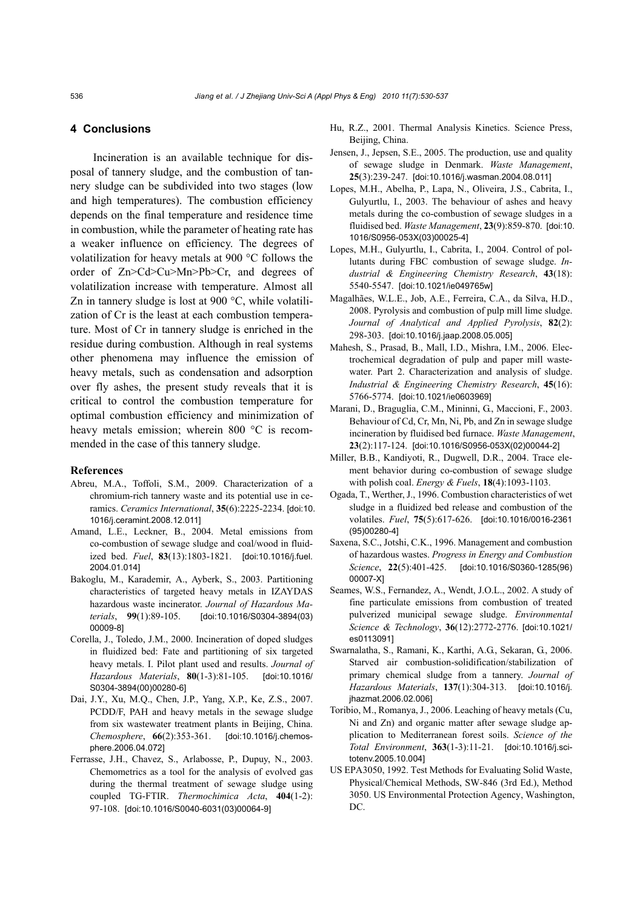# **4 Conclusions**

Incineration is an available technique for disposal of tannery sludge, and the combustion of tannery sludge can be subdivided into two stages (low and high temperatures). The combustion efficiency depends on the final temperature and residence time in combustion, while the parameter of heating rate has a weaker influence on efficiency. The degrees of volatilization for heavy metals at 900 °C follows the order of Zn>Cd>Cu>Mn>Pb>Cr, and degrees of volatilization increase with temperature. Almost all Zn in tannery sludge is lost at 900 °C, while volatilization of Cr is the least at each combustion temperature. Most of Cr in tannery sludge is enriched in the residue during combustion. Although in real systems other phenomena may influence the emission of heavy metals, such as condensation and adsorption over fly ashes, the present study reveals that it is critical to control the combustion temperature for optimal combustion efficiency and minimization of heavy metals emission; wherein 800 °C is recommended in the case of this tannery sludge.

#### **References**

- Abreu, M.A., Toffoli, S.M., 2009. Characterization of a chromium-rich tannery waste and its potential use in ceramics. *Ceramics International*, **35**(6):2225-2234. [doi:10. 1016/j.ceramint.2008.12.011]
- Amand, L.E., Leckner, B., 2004. Metal emissions from co-combustion of sewage sludge and coal/wood in fluidized bed. *Fuel*, **83**(13):1803-1821. [doi:10.1016/j.fuel. 2004.01.014]
- Bakoglu, M., Karademir, A., Ayberk, S., 2003. Partitioning characteristics of targeted heavy metals in IZAYDAS hazardous waste incinerator. *Journal of Hazardous Materials*, **99**(1):89-105. [doi:10.1016/S0304-3894(03) 00009-8]
- Corella, J., Toledo, J.M., 2000. Incineration of doped sludges in fluidized bed: Fate and partitioning of six targeted heavy metals. I. Pilot plant used and results. *Journal of Hazardous Materials*, **80**(1-3):81-105. [doi:10.1016/ S0304-3894(00)00280-6]
- Dai, J.Y., Xu, M.Q., Chen, J.P., Yang, X.P., Ke, Z.S., 2007. PCDD/F, PAH and heavy metals in the sewage sludge from six wastewater treatment plants in Beijing, China. *Chemosphere*, **66**(2):353-361. [doi:10.1016/j.chemosphere.2006.04.072]
- Ferrasse, J.H., Chavez, S., Arlabosse, P., Dupuy, N., 2003. Chemometrics as a tool for the analysis of evolved gas during the thermal treatment of sewage sludge using coupled TG-FTIR. *Thermochimica Acta*, **404**(1-2): 97-108. [doi:10.1016/S0040-6031(03)00064-9]
- Hu, R.Z., 2001. Thermal Analysis Kinetics. Science Press, Beijing, China.
- Jensen, J., Jepsen, S.E., 2005. The production, use and quality of sewage sludge in Denmark. *Waste Management*, **25**(3):239-247. [doi:10.1016/j.wasman.2004.08.011]
- Lopes, M.H., Abelha, P., Lapa, N., Oliveira, J.S., Cabrita, I., Gulyurtlu, I., 2003. The behaviour of ashes and heavy metals during the co-combustion of sewage sludges in a fluidised bed. *Waste Management*, **23**(9):859-870. [doi:10. 1016/S0956-053X(03)00025-4]
- Lopes, M.H., Gulyurtlu, I., Cabrita, I., 2004. Control of pollutants during FBC combustion of sewage sludge. *Industrial & Engineering Chemistry Research*, **43**(18): 5540-5547. [doi:10.1021/ie049765w]
- Magalhães, W.L.E., Job, A.E., Ferreira, C.A., da Silva, H.D., 2008. Pyrolysis and combustion of pulp mill lime sludge. *Journal of Analytical and Applied Pyrolysis*, **82**(2): 298-303. [doi:10.1016/j.jaap.2008.05.005]
- Mahesh, S., Prasad, B., Mall, I.D., Mishra, I.M., 2006. Electrochemical degradation of pulp and paper mill wastewater. Part 2. Characterization and analysis of sludge. *Industrial & Engineering Chemistry Research*, **45**(16): 5766-5774. [doi:10.1021/ie0603969]
- Marani, D., Braguglia, C.M., Mininni, G., Maccioni, F., 2003. Behaviour of Cd, Cr, Mn, Ni, Pb, and Zn in sewage sludge incineration by fluidised bed furnace. *Waste Management*, **23**(2):117-124. [doi:10.1016/S0956-053X(02)00044-2]
- Miller, B.B., Kandiyoti, R., Dugwell, D.R., 2004. Trace element behavior during co-combustion of sewage sludge with polish coal. *Energy & Fuels*, **18**(4):1093-1103.
- Ogada, T., Werther, J., 1996. Combustion characteristics of wet sludge in a fluidized bed release and combustion of the volatiles. *Fuel*, **75**(5):617-626. [doi:10.1016/0016-2361 (95)00280-4]
- Saxena, S.C., Jotshi, C.K., 1996. Management and combustion of hazardous wastes. *Progress in Energy and Combustion Science*, **22**(5):401-425. [doi:10.1016/S0360-1285(96) 00007-X]
- Seames, W.S., Fernandez, A., Wendt, J.O.L., 2002. A study of fine particulate emissions from combustion of treated pulverized municipal sewage sludge. *Environmental Science & Technology*, **36**(12):2772-2776. [doi:10.1021/ es0113091]
- Swarnalatha, S., Ramani, K., Karthi, A.G., Sekaran, G., 2006. Starved air combustion-solidification/stabilization of primary chemical sludge from a tannery. *Journal of Hazardous Materials*, **137**(1):304-313. [doi:10.1016/j. jhazmat.2006.02.006]
- Toribio, M., Romanya, J., 2006. Leaching of heavy metals (Cu, Ni and Zn) and organic matter after sewage sludge application to Mediterranean forest soils. *Science of the Total Environment*, **363**(1-3):11-21. [doi:10.1016/j.scitotenv.2005.10.004]
- US EPA3050, 1992. Test Methods for Evaluating Solid Waste, Physical/Chemical Methods, SW-846 (3rd Ed.), Method 3050. US Environmental Protection Agency, Washington, DC.